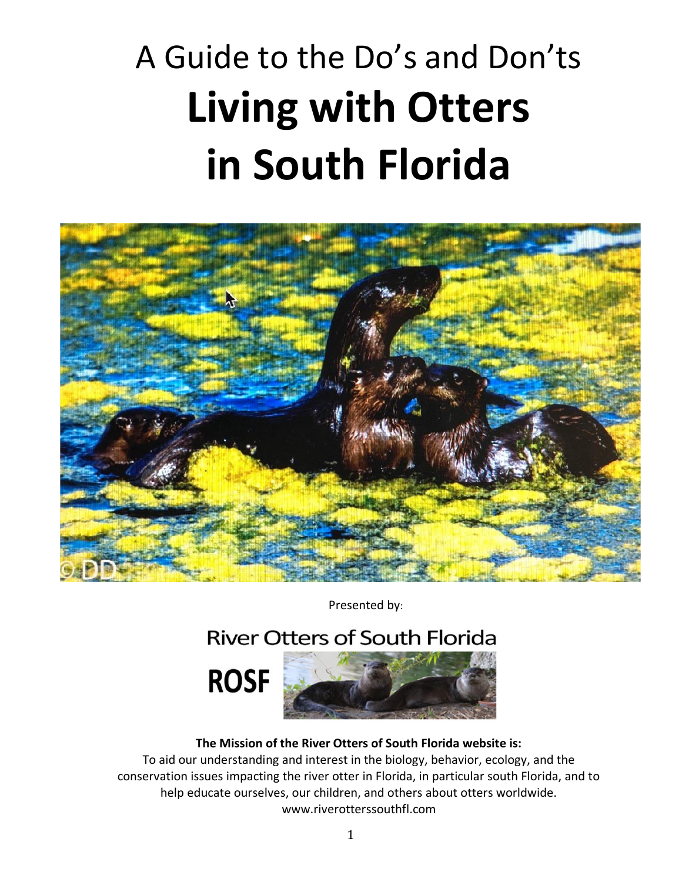# A Guide to the Do's and Don'ts **Living with Otters in South Florida**



Presented by:

# **River Otters of South Florida**





#### **The Mission of the River Otters of South Florida website is:**

To aid our understanding and interest in the biology, behavior, ecology, and the conservation issues impacting the river otter in Florida, in particular south Florida, and to help educate ourselves, our children, and others about otters worldwide. www.riverotterssouthfl.com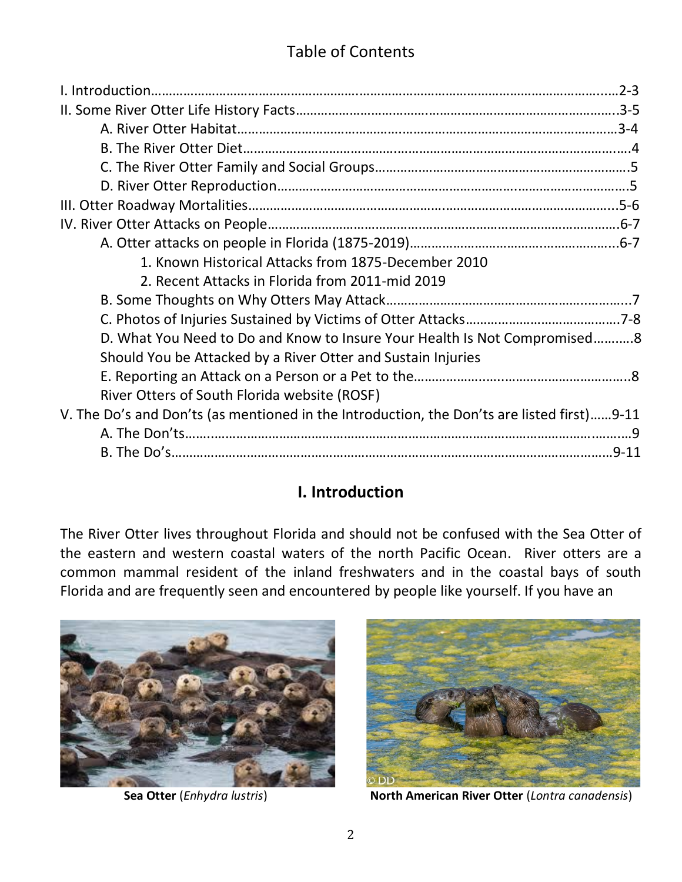# Table of Contents

| 1. Known Historical Attacks from 1875-December 2010                                        |  |
|--------------------------------------------------------------------------------------------|--|
| 2. Recent Attacks in Florida from 2011-mid 2019                                            |  |
|                                                                                            |  |
|                                                                                            |  |
| D. What You Need to Do and Know to Insure Your Health Is Not Compromised8                  |  |
| Should You be Attacked by a River Otter and Sustain Injuries                               |  |
|                                                                                            |  |
| River Otters of South Florida website (ROSF)                                               |  |
| V. The Do's and Don'ts (as mentioned in the Introduction, the Don'ts are listed first)9-11 |  |
|                                                                                            |  |
|                                                                                            |  |

## **I. Introduction**

The River Otter lives throughout Florida and should not be confused with the Sea Otter of the eastern and western coastal waters of the north Pacific Ocean. River otters are a common mammal resident of the inland freshwaters and in the coastal bays of south Florida and are frequently seen and encountered by people like yourself. If you have an





**Sea Otter** (*Enhydra lustris*) **North American River Otter** (*Lontra canadensis*)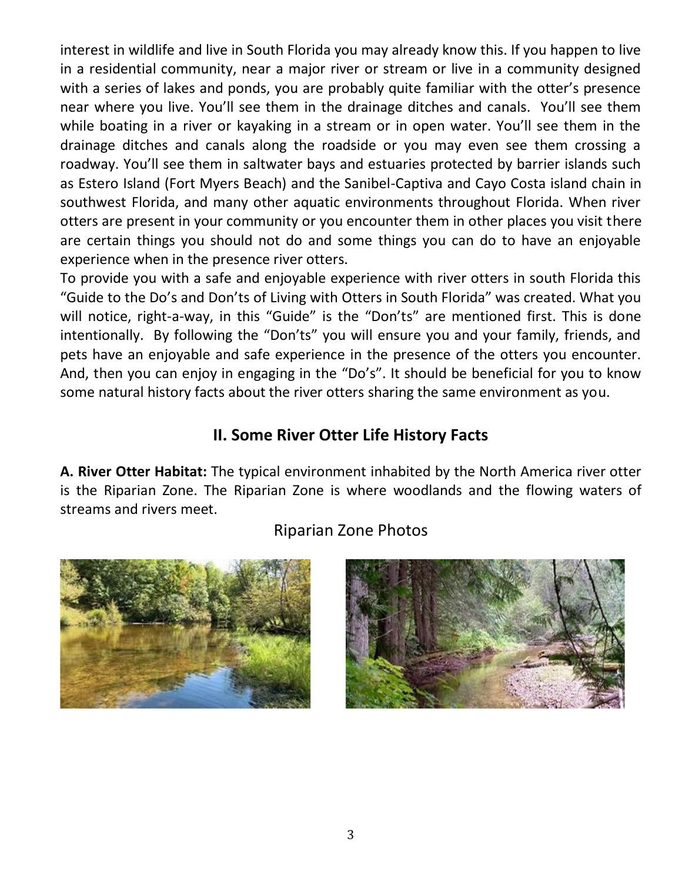interest in wildlife and live in South Florida you may already know this. If you happen to live in a residential community, near a major river or stream or live in a community designed with a series of lakes and ponds, you are probably quite familiar with the otter's presence near where you live. You'll see them in the drainage ditches and canals. You'll see them while boating in a river or kayaking in a stream or in open water. You'll see them in the drainage ditches and canals along the roadside or you may even see them crossing a roadway. You'll see them in saltwater bays and estuaries protected by barrier islands such as Estero Island (Fort Myers Beach) and the Sanibel-Captiva and Cayo Costa island chain in southwest Florida, and many other aquatic environments throughout Florida. When river otters are present in your community or you encounter them in other places you visit there are certain things you should not do and some things you can do to have an enjoyable experience when in the presence river otters.

To provide you with a safe and enjoyable experience with river otters in south Florida this "Guide to the Do's and Don'ts of Living with Otters in South Florida" was created. What you will notice, right-a-way, in this "Guide" is the "Don'ts" are mentioned first. This is done intentionally. By following the "Don'ts" you will ensure you and your family, friends, and pets have an enjoyable and safe experience in the presence of the otters you encounter. And, then you can enjoy in engaging in the "Do's". It should be beneficial for you to know some natural history facts about the river otters sharing the same environment as you.

### **II. Some River Otter Life History Facts**

**A. River Otter Habitat:** The typical environment inhabited by the North America river otter is the Riparian Zone. The Riparian Zone is where woodlands and the flowing waters of streams and rivers meet.

## Riparian Zone Photos



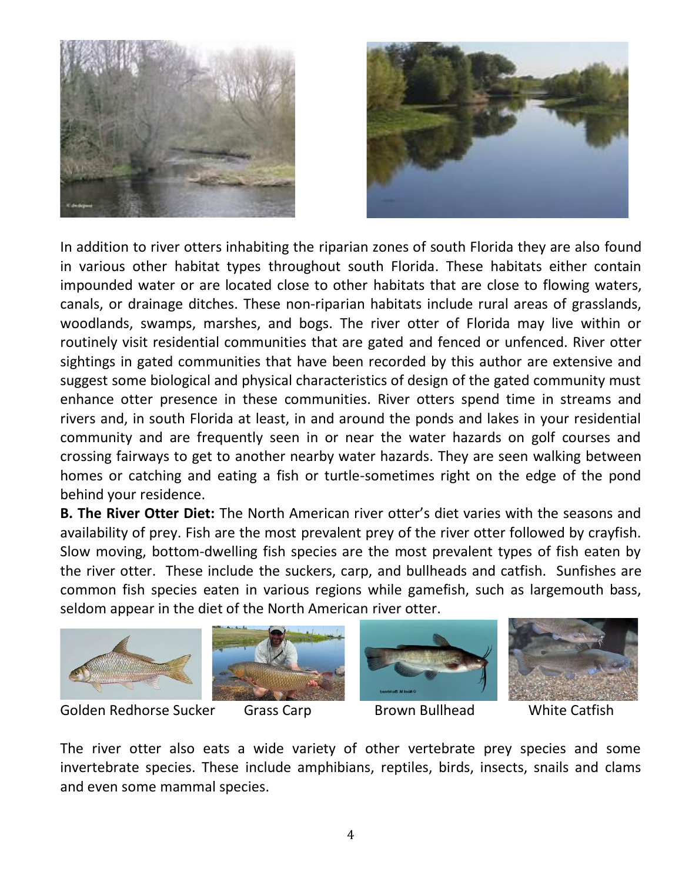



In addition to river otters inhabiting the riparian zones of south Florida they are also found in various other habitat types throughout south Florida. These habitats either contain impounded water or are located close to other habitats that are close to flowing waters, canals, or drainage ditches. These non-riparian habitats include rural areas of grasslands, woodlands, swamps, marshes, and bogs. The river otter of Florida may live within or routinely visit residential communities that are gated and fenced or unfenced. River otter sightings in gated communities that have been recorded by this author are extensive and suggest some biological and physical characteristics of design of the gated community must enhance otter presence in these communities. River otters spend time in streams and rivers and, in south Florida at least, in and around the ponds and lakes in your residential community and are frequently seen in or near the water hazards on golf courses and crossing fairways to get to another nearby water hazards. They are seen walking between homes or catching and eating a fish or turtle-sometimes right on the edge of the pond behind your residence.

**B. The River Otter Diet:** The North American river otter's diet varies with the seasons and availability of prey. Fish are the most prevalent prey of the river otter followed by crayfish. Slow moving, bottom-dwelling fish species are the most prevalent types of fish eaten by the river otter. These include the suckers, carp, and bullheads and catfish. Sunfishes are common fish species eaten in various regions while gamefish, such as largemouth bass, seldom appear in the diet of the North American river otter.







Golden Redhorse Sucker Grass Carp Brown Bullhead White Catfish



The river otter also eats a wide variety of other vertebrate prey species and some invertebrate species. These include amphibians, reptiles, birds, insects, snails and clams and even some mammal species.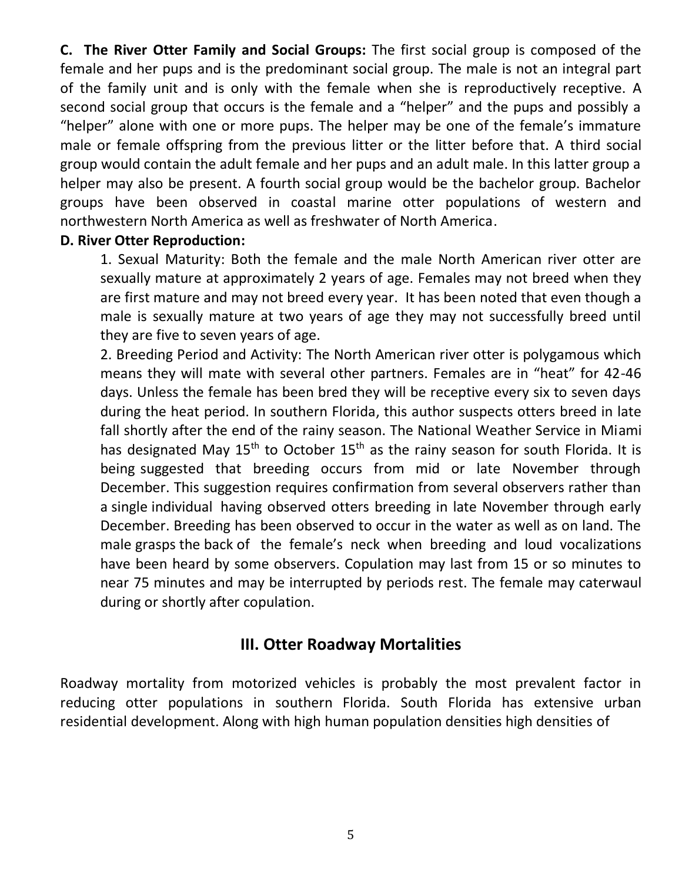**C. The River Otter Family and Social Groups:** The first social group is composed of the female and her pups and is the predominant social group. The male is not an integral part of the family unit and is only with the female when she is reproductively receptive. A second social group that occurs is the female and a "helper" and the pups and possibly a "helper" alone with one or more pups. The helper may be one of the female's immature male or female offspring from the previous litter or the litter before that. A third social group would contain the adult female and her pups and an adult male. In this latter group a helper may also be present. A fourth social group would be the bachelor group. Bachelor groups have been observed in coastal marine otter populations of western and northwestern North America as well as freshwater of North America.

#### **D. River Otter Reproduction:**

1. Sexual Maturity: Both the female and the male North American river otter are sexually mature at approximately 2 years of age. Females may not breed when they are first mature and may not breed every year. It has been noted that even though a male is sexually mature at two years of age they may not successfully breed until they are five to seven years of age.

2. Breeding Period and Activity: The North American river otter is polygamous which means they will mate with several other partners. Females are in "heat" for 42-46 days. Unless the female has been bred they will be receptive every six to seven days during the heat period. In southern Florida, this author suspects otters breed in late fall shortly after the end of the rainy season. The National Weather Service in Miami has designated May 15<sup>th</sup> to October 15<sup>th</sup> as the rainy season for south Florida. It is being suggested that breeding occurs from mid or late November through December. This suggestion requires confirmation from several observers rather than a single individual having observed otters breeding in late November through early December. Breeding has been observed to occur in the water as well as on land. The male grasps the back of the female's neck when breeding and loud vocalizations have been heard by some observers. Copulation may last from 15 or so minutes to near 75 minutes and may be interrupted by periods rest. The female may caterwaul during or shortly after copulation.

#### **III. Otter Roadway Mortalities**

Roadway mortality from motorized vehicles is probably the most prevalent factor in reducing otter populations in southern Florida. South Florida has extensive urban residential development. Along with high human population densities high densities of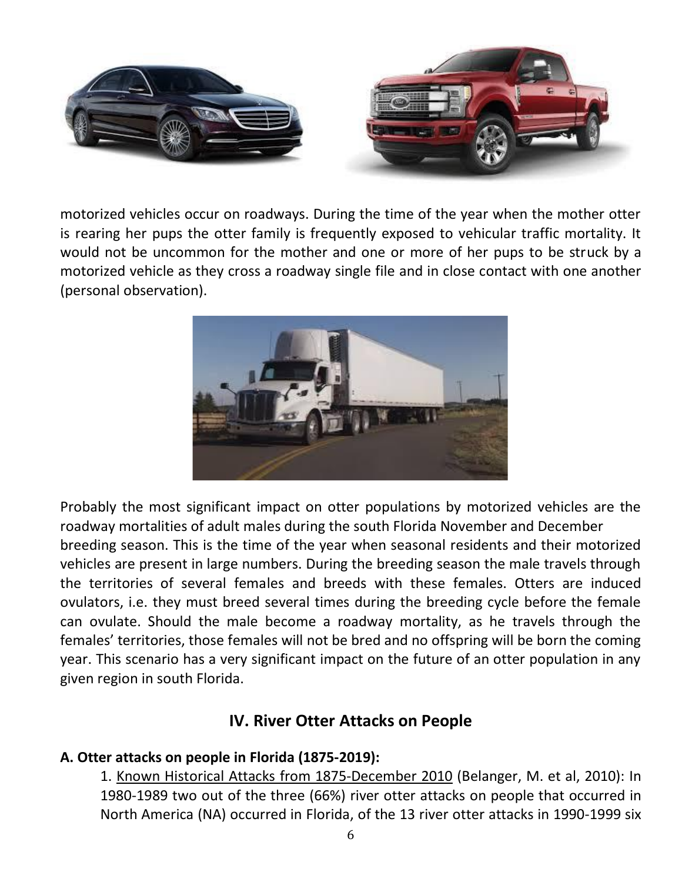

motorized vehicles occur on roadways. During the time of the year when the mother otter is rearing her pups the otter family is frequently exposed to vehicular traffic mortality. It would not be uncommon for the mother and one or more of her pups to be struck by a motorized vehicle as they cross a roadway single file and in close contact with one another (personal observation).



Probably the most significant impact on otter populations by motorized vehicles are the roadway mortalities of adult males during the south Florida November and December breeding season. This is the time of the year when seasonal residents and their motorized vehicles are present in large numbers. During the breeding season the male travels through the territories of several females and breeds with these females. Otters are induced ovulators, i.e. they must breed several times during the breeding cycle before the female can ovulate. Should the male become a roadway mortality, as he travels through the females' territories, those females will not be bred and no offspring will be born the coming year. This scenario has a very significant impact on the future of an otter population in any given region in south Florida.

#### **IV. River Otter Attacks on People**

#### **A. Otter attacks on people in Florida (1875-2019):**

1. Known Historical Attacks from 1875-December 2010 (Belanger, M. et al, 2010): In 1980-1989 two out of the three (66%) river otter attacks on people that occurred in North America (NA) occurred in Florida, of the 13 river otter attacks in 1990-1999 six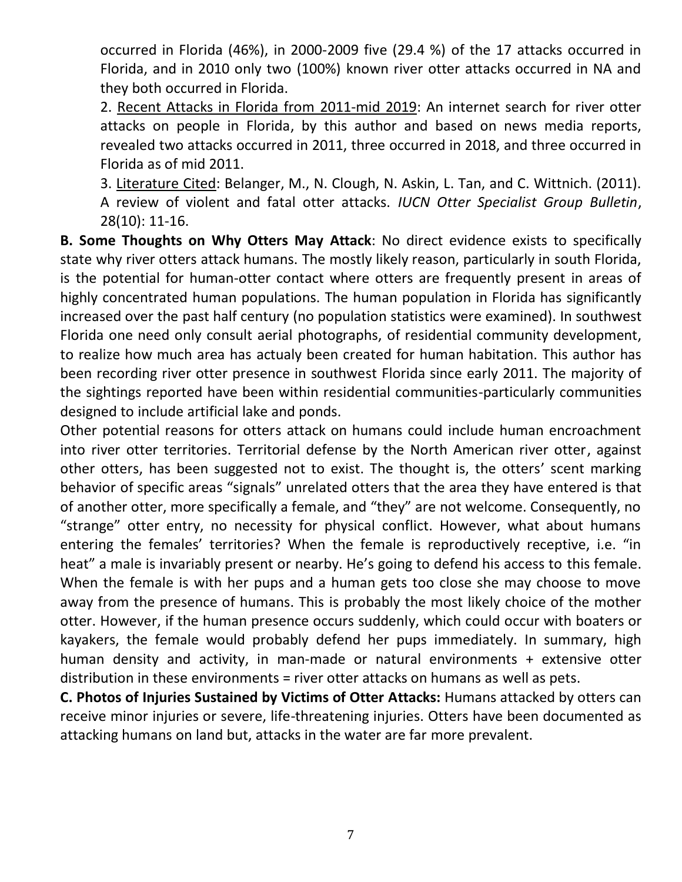occurred in Florida (46%), in 2000-2009 five (29.4 %) of the 17 attacks occurred in Florida, and in 2010 only two (100%) known river otter attacks occurred in NA and they both occurred in Florida.

2. Recent Attacks in Florida from 2011-mid 2019: An internet search for river otter attacks on people in Florida, by this author and based on news media reports, revealed two attacks occurred in 2011, three occurred in 2018, and three occurred in Florida as of mid 2011.

3. Literature Cited: Belanger, M., N. Clough, N. Askin, L. Tan, and C. Wittnich. (2011). A review of violent and fatal otter attacks. *IUCN Otter Specialist Group Bulletin*, 28(10): 11-16.

**B. Some Thoughts on Why Otters May Attack**: No direct evidence exists to specifically state why river otters attack humans. The mostly likely reason, particularly in south Florida, is the potential for human-otter contact where otters are frequently present in areas of highly concentrated human populations. The human population in Florida has significantly increased over the past half century (no population statistics were examined). In southwest Florida one need only consult aerial photographs, of residential community development, to realize how much area has actualy been created for human habitation. This author has been recording river otter presence in southwest Florida since early 2011. The majority of the sightings reported have been within residential communities-particularly communities designed to include artificial lake and ponds.

Other potential reasons for otters attack on humans could include human encroachment into river otter territories. Territorial defense by the North American river otter, against other otters, has been suggested not to exist. The thought is, the otters' scent marking behavior of specific areas "signals" unrelated otters that the area they have entered is that of another otter, more specifically a female, and "they" are not welcome. Consequently, no "strange" otter entry, no necessity for physical conflict. However, what about humans entering the females' territories? When the female is reproductively receptive, i.e. "in heat" a male is invariably present or nearby. He's going to defend his access to this female. When the female is with her pups and a human gets too close she may choose to move away from the presence of humans. This is probably the most likely choice of the mother otter. However, if the human presence occurs suddenly, which could occur with boaters or kayakers, the female would probably defend her pups immediately. In summary, high human density and activity, in man-made or natural environments + extensive otter distribution in these environments = river otter attacks on humans as well as pets.

**C. Photos of Injuries Sustained by Victims of Otter Attacks:** Humans attacked by otters can receive minor injuries or severe, life-threatening injuries. Otters have been documented as attacking humans on land but, attacks in the water are far more prevalent.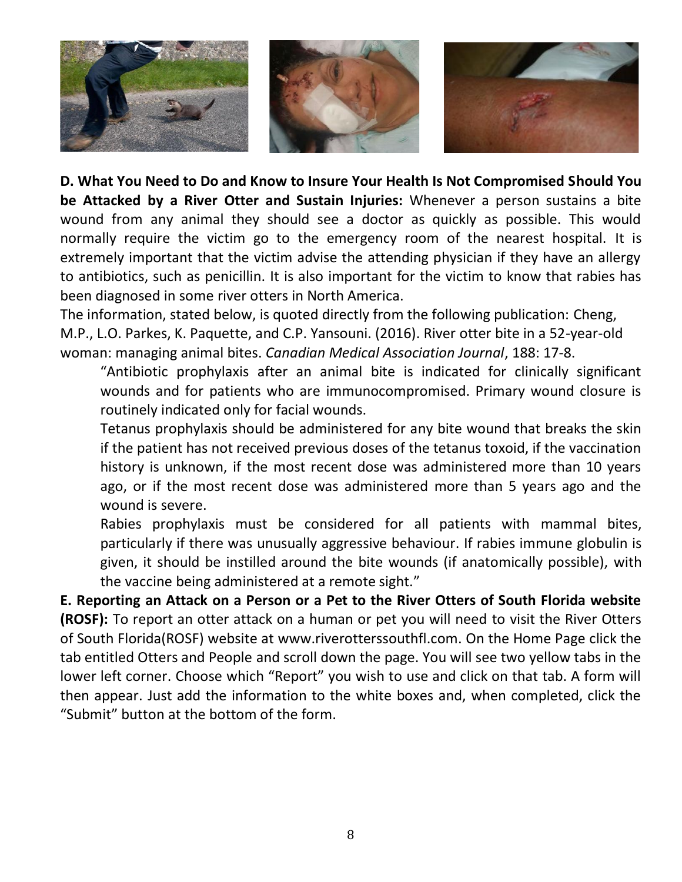

**D. What You Need to Do and Know to Insure Your Health Is Not Compromised Should You be Attacked by a River Otter and Sustain Injuries:** Whenever a person sustains a bite wound from any animal they should see a doctor as quickly as possible. This would normally require the victim go to the emergency room of the nearest hospital. It is extremely important that the victim advise the attending physician if they have an allergy to antibiotics, such as penicillin. It is also important for the victim to know that rabies has been diagnosed in some river otters in North America.

The information, stated below, is quoted directly from the following publication: Cheng, M.P., L.O. Parkes, K. Paquette, and C.P. Yansouni. (2016). River otter bite in a 52-year-old woman: managing animal bites. *Canadian Medical Association Journal*, 188: 17-8.

"Antibiotic prophylaxis after an animal bite is indicated for clinically significant wounds and for patients who are immunocompromised. Primary wound closure is routinely indicated only for facial wounds.

Tetanus prophylaxis should be administered for any bite wound that breaks the skin if the patient has not received previous doses of the tetanus toxoid, if the vaccination history is unknown, if the most recent dose was administered more than 10 years ago, or if the most recent dose was administered more than 5 years ago and the wound is severe.

Rabies prophylaxis must be considered for all patients with mammal bites, particularly if there was unusually aggressive behaviour. If rabies immune globulin is given, it should be instilled around the bite wounds (if anatomically possible), with the vaccine being administered at a remote sight."

**E. Reporting an Attack on a Person or a Pet to the River Otters of South Florida website (ROSF):** To report an otter attack on a human or pet you will need to visit the River Otters of South Florida(ROSF) website at [www.riverotterssouthfl.com.](http://www.riverotterssouthfl.com/) On the Home Page click the tab entitled Otters and People and scroll down the page. You will see two yellow tabs in the lower left corner. Choose which "Report" you wish to use and click on that tab. A form will then appear. Just add the information to the white boxes and, when completed, click the "Submit" button at the bottom of the form.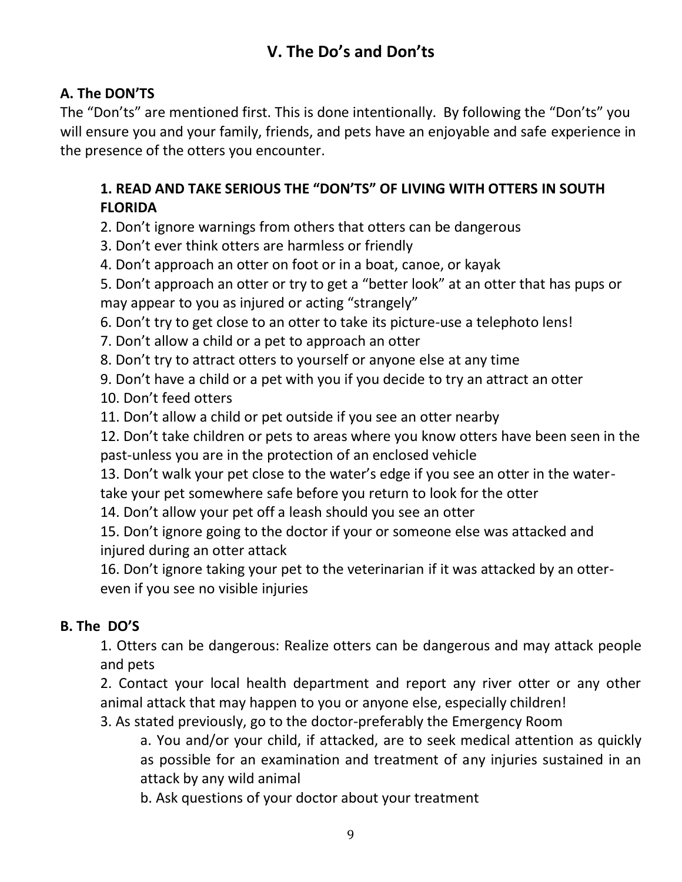## **V. The Do's and Don'ts**

#### **A. The DON'TS**

The "Don'ts" are mentioned first. This is done intentionally. By following the "Don'ts" you will ensure you and your family, friends, and pets have an enjoyable and safe experience in the presence of the otters you encounter.

#### **1. READ AND TAKE SERIOUS THE "DON'TS" OF LIVING WITH OTTERS IN SOUTH FLORIDA**

2. Don't ignore warnings from others that otters can be dangerous

3. Don't ever think otters are harmless or friendly

4. Don't approach an otter on foot or in a boat, canoe, or kayak

5. Don't approach an otter or try to get a "better look" at an otter that has pups or may appear to you as injured or acting "strangely"

6. Don't try to get close to an otter to take its picture-use a telephoto lens!

7. Don't allow a child or a pet to approach an otter

8. Don't try to attract otters to yourself or anyone else at any time

9. Don't have a child or a pet with you if you decide to try an attract an otter

10. Don't feed otters

11. Don't allow a child or pet outside if you see an otter nearby

12. Don't take children or pets to areas where you know otters have been seen in the past-unless you are in the protection of an enclosed vehicle

13. Don't walk your pet close to the water's edge if you see an otter in the water-

take your pet somewhere safe before you return to look for the otter

14. Don't allow your pet off a leash should you see an otter

15. Don't ignore going to the doctor if your or someone else was attacked and injured during an otter attack

16. Don't ignore taking your pet to the veterinarian if it was attacked by an ottereven if you see no visible injuries

#### **B. The DO'S**

1. Otters can be dangerous: Realize otters can be dangerous and may attack people and pets

2. Contact your local health department and report any river otter or any other animal attack that may happen to you or anyone else, especially children!

3. As stated previously, go to the doctor-preferably the Emergency Room

a. You and/or your child, if attacked, are to seek medical attention as quickly as possible for an examination and treatment of any injuries sustained in an attack by any wild animal

b. Ask questions of your doctor about your treatment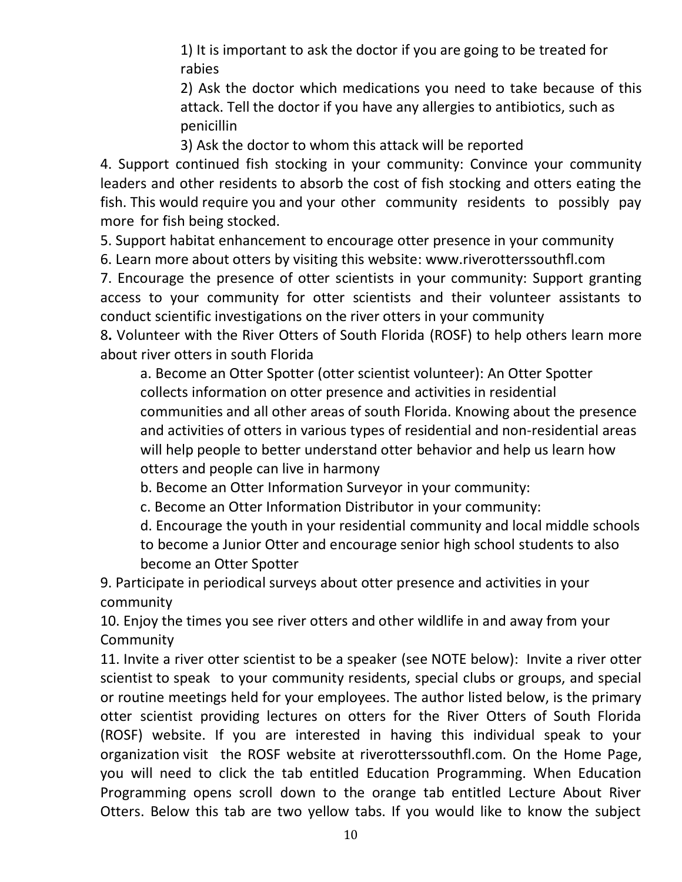1) It is important to ask the doctor if you are going to be treated for rabies

2) Ask the doctor which medications you need to take because of this attack. Tell the doctor if you have any allergies to antibiotics, such as penicillin

3) Ask the doctor to whom this attack will be reported

4. Support continued fish stocking in your community: Convince your community leaders and other residents to absorb the cost of fish stocking and otters eating the fish. This would require you and your other community residents to possibly pay more for fish being stocked.

5. Support habitat enhancement to encourage otter presence in your community

6. Learn more about otters by visiting this website: www.riverotterssouthfl.com

7. Encourage the presence of otter scientists in your community: Support granting access to your community for otter scientists and their volunteer assistants to conduct scientific investigations on the river otters in your community

8**.** Volunteer with the River Otters of South Florida (ROSF) to help others learn more about river otters in south Florida

a. Become an Otter Spotter (otter scientist volunteer): An Otter Spotter collects information on otter presence and activities in residential communities and all other areas of south Florida. Knowing about the presence and activities of otters in various types of residential and non-residential areas will help people to better understand otter behavior and help us learn how otters and people can live in harmony

b. Become an Otter Information Surveyor in your community:

c. Become an Otter Information Distributor in your community:

d. Encourage the youth in your residential community and local middle schools to become a Junior Otter and encourage senior high school students to also become an Otter Spotter

9. Participate in periodical surveys about otter presence and activities in your community

10. Enjoy the times you see river otters and other wildlife in and away from your **Community** 

11. Invite a river otter scientist to be a speaker (see NOTE below): Invite a river otter scientist to speak to your community residents, special clubs or groups, and special or routine meetings held for your employees. The author listed below, is the primary otter scientist providing lectures on otters for the River Otters of South Florida (ROSF) website. If you are interested in having this individual speak to your organization visit the ROSF website at riverotterssouthfl.com. On the Home Page, you will need to click the tab entitled Education Programming. When Education Programming opens scroll down to the orange tab entitled Lecture About River Otters. Below this tab are two yellow tabs. If you would like to know the subject